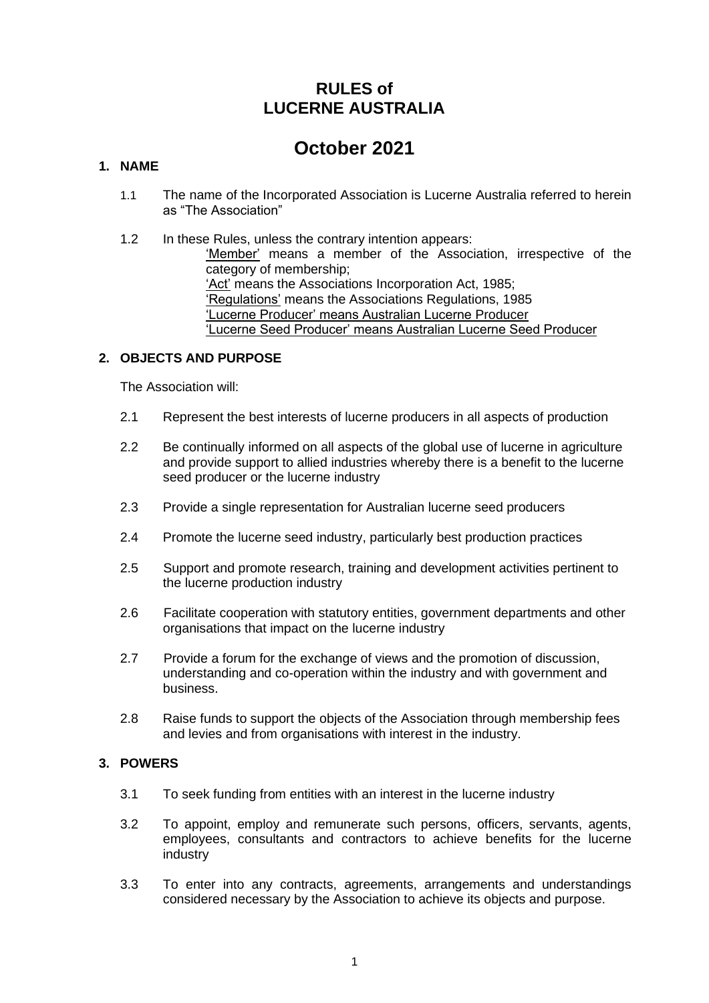## **RULES of LUCERNE AUSTRALIA**

# **October 2021**

## **1. NAME**

- 1.1 The name of the Incorporated Association is Lucerne Australia referred to herein as "The Association"
- 1.2 In these Rules, unless the contrary intention appears: 'Member' means a member of the Association, irrespective of the category of membership; 'Act' means the Associations Incorporation Act, 1985; 'Regulations' means the Associations Regulations, 1985 'Lucerne Producer' means Australian Lucerne Producer 'Lucerne Seed Producer' means Australian Lucerne Seed Producer

## **2. OBJECTS AND PURPOSE**

The Association will:

- 2.1 Represent the best interests of lucerne producers in all aspects of production
- 2.2 Be continually informed on all aspects of the global use of lucerne in agriculture and provide support to allied industries whereby there is a benefit to the lucerne seed producer or the lucerne industry
- 2.3 Provide a single representation for Australian lucerne seed producers
- 2.4 Promote the lucerne seed industry, particularly best production practices
- 2.5 Support and promote research, training and development activities pertinent to the lucerne production industry
- 2.6 Facilitate cooperation with statutory entities, government departments and other organisations that impact on the lucerne industry
- 2.7 Provide a forum for the exchange of views and the promotion of discussion, understanding and co-operation within the industry and with government and business.
- 2.8 Raise funds to support the objects of the Association through membership fees and levies and from organisations with interest in the industry.

## **3. POWERS**

- 3.1 To seek funding from entities with an interest in the lucerne industry
- 3.2 To appoint, employ and remunerate such persons, officers, servants, agents, employees, consultants and contractors to achieve benefits for the lucerne industry
- 3.3 To enter into any contracts, agreements, arrangements and understandings considered necessary by the Association to achieve its objects and purpose.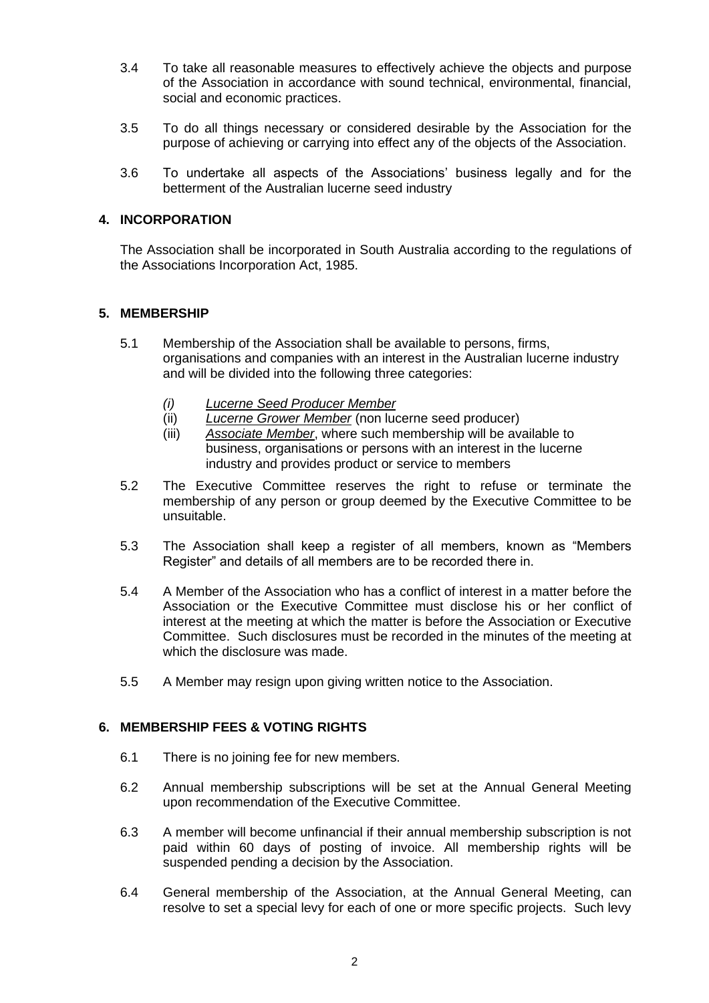- 3.4 To take all reasonable measures to effectively achieve the objects and purpose of the Association in accordance with sound technical, environmental, financial, social and economic practices.
- 3.5 To do all things necessary or considered desirable by the Association for the purpose of achieving or carrying into effect any of the objects of the Association.
- 3.6 To undertake all aspects of the Associations' business legally and for the betterment of the Australian lucerne seed industry

## **4. INCORPORATION**

The Association shall be incorporated in South Australia according to the regulations of the Associations Incorporation Act, 1985.

## **5. MEMBERSHIP**

- 5.1 Membership of the Association shall be available to persons, firms, organisations and companies with an interest in the Australian lucerne industry and will be divided into the following three categories:
	- *(i) Lucerne Seed Producer Member*
	- (ii) *Lucerne Grower Member* (non lucerne seed producer)
	- (iii) *Associate Member*, where such membership will be available to business, organisations or persons with an interest in the lucerne industry and provides product or service to members
- 5.2 The Executive Committee reserves the right to refuse or terminate the membership of any person or group deemed by the Executive Committee to be unsuitable.
- 5.3 The Association shall keep a register of all members, known as "Members Register" and details of all members are to be recorded there in.
- 5.4 A Member of the Association who has a conflict of interest in a matter before the Association or the Executive Committee must disclose his or her conflict of interest at the meeting at which the matter is before the Association or Executive Committee. Such disclosures must be recorded in the minutes of the meeting at which the disclosure was made.
- 5.5 A Member may resign upon giving written notice to the Association.

## **6. MEMBERSHIP FEES & VOTING RIGHTS**

- 6.1 There is no joining fee for new members.
- 6.2 Annual membership subscriptions will be set at the Annual General Meeting upon recommendation of the Executive Committee.
- 6.3 A member will become unfinancial if their annual membership subscription is not paid within 60 days of posting of invoice. All membership rights will be suspended pending a decision by the Association.
- 6.4 General membership of the Association, at the Annual General Meeting, can resolve to set a special levy for each of one or more specific projects. Such levy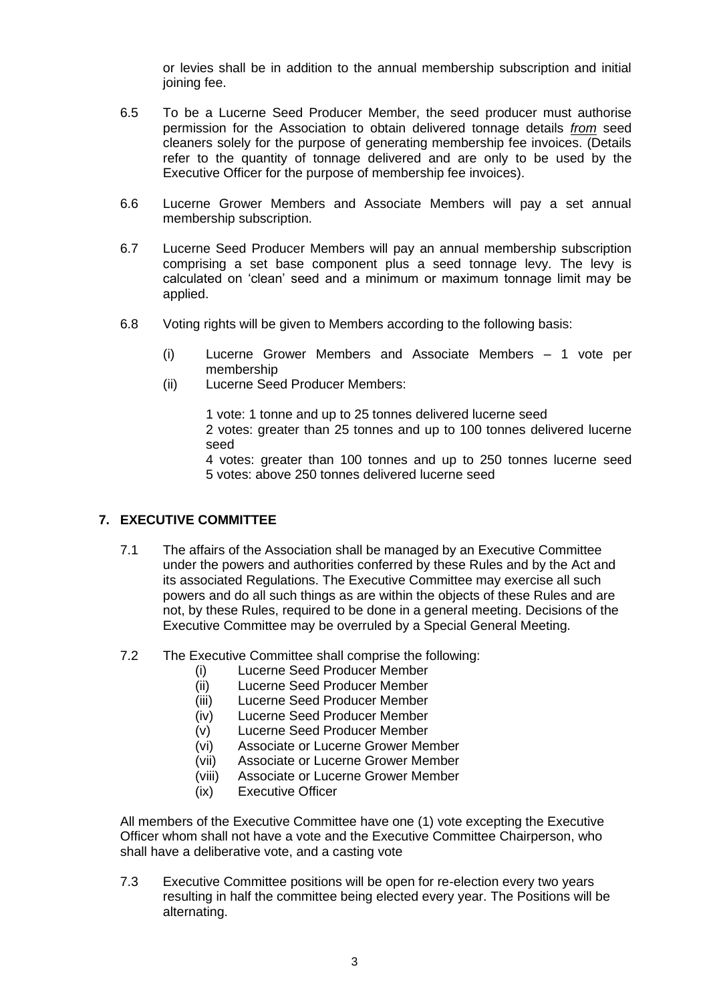or levies shall be in addition to the annual membership subscription and initial joining fee.

- 6.5 To be a Lucerne Seed Producer Member, the seed producer must authorise permission for the Association to obtain delivered tonnage details *from* seed cleaners solely for the purpose of generating membership fee invoices. (Details refer to the quantity of tonnage delivered and are only to be used by the Executive Officer for the purpose of membership fee invoices).
- 6.6 Lucerne Grower Members and Associate Members will pay a set annual membership subscription.
- 6.7 Lucerne Seed Producer Members will pay an annual membership subscription comprising a set base component plus a seed tonnage levy. The levy is calculated on 'clean' seed and a minimum or maximum tonnage limit may be applied.
- 6.8 Voting rights will be given to Members according to the following basis:
	- (i) Lucerne Grower Members and Associate Members 1 vote per membership
	- (ii) Lucerne Seed Producer Members:

1 vote: 1 tonne and up to 25 tonnes delivered lucerne seed 2 votes: greater than 25 tonnes and up to 100 tonnes delivered lucerne seed

4 votes: greater than 100 tonnes and up to 250 tonnes lucerne seed 5 votes: above 250 tonnes delivered lucerne seed

## **7. EXECUTIVE COMMITTEE**

- 7.1 The affairs of the Association shall be managed by an Executive Committee under the powers and authorities conferred by these Rules and by the Act and its associated Regulations. The Executive Committee may exercise all such powers and do all such things as are within the objects of these Rules and are not, by these Rules, required to be done in a general meeting. Decisions of the Executive Committee may be overruled by a Special General Meeting.
- 7.2 The Executive Committee shall comprise the following:
	- (i) Lucerne Seed Producer Member
	- (ii) Lucerne Seed Producer Member
	- (iii) Lucerne Seed Producer Member
	- (iv) Lucerne Seed Producer Member
	- (v) Lucerne Seed Producer Member
	- (vi) Associate or Lucerne Grower Member
	- (vii) Associate or Lucerne Grower Member
	- (viii) Associate or Lucerne Grower Member
	- (ix) Executive Officer

All members of the Executive Committee have one (1) vote excepting the Executive Officer whom shall not have a vote and the Executive Committee Chairperson, who shall have a deliberative vote, and a casting vote

7.3 Executive Committee positions will be open for re-election every two years resulting in half the committee being elected every year. The Positions will be alternating.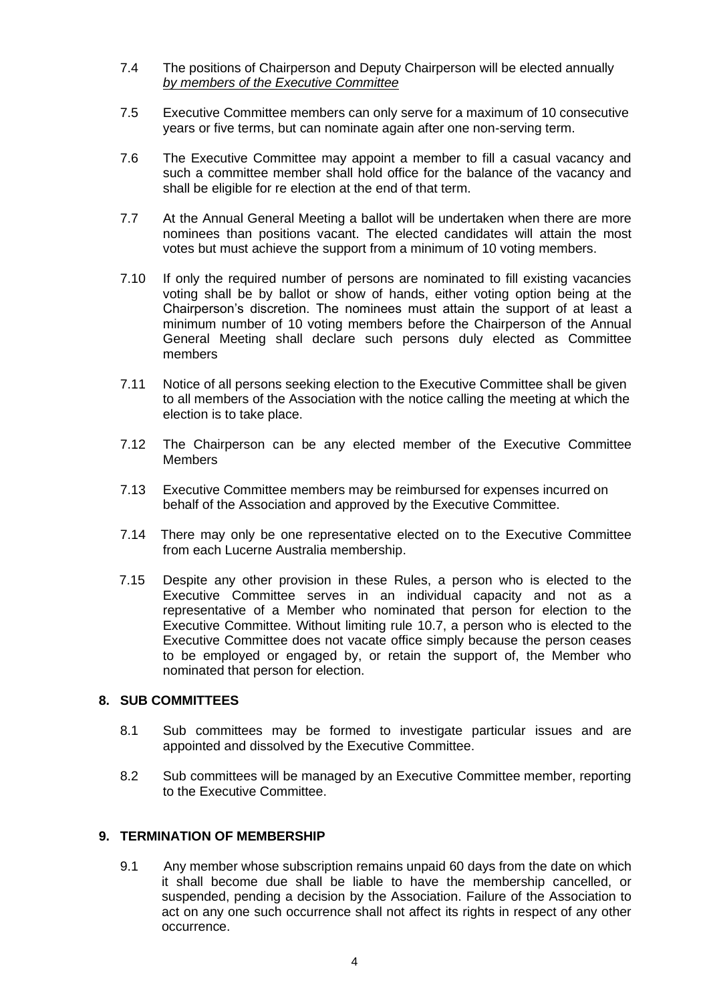- 7.4 The positions of Chairperson and Deputy Chairperson will be elected annually *by members of the Executive Committee*
- 7.5 Executive Committee members can only serve for a maximum of 10 consecutive years or five terms, but can nominate again after one non-serving term.
- 7.6 The Executive Committee may appoint a member to fill a casual vacancy and such a committee member shall hold office for the balance of the vacancy and shall be eligible for re election at the end of that term.
- 7.7 At the Annual General Meeting a ballot will be undertaken when there are more nominees than positions vacant. The elected candidates will attain the most votes but must achieve the support from a minimum of 10 voting members.
- 7.10 If only the required number of persons are nominated to fill existing vacancies voting shall be by ballot or show of hands, either voting option being at the Chairperson's discretion. The nominees must attain the support of at least a minimum number of 10 voting members before the Chairperson of the Annual General Meeting shall declare such persons duly elected as Committee members
- 7.11 Notice of all persons seeking election to the Executive Committee shall be given to all members of the Association with the notice calling the meeting at which the election is to take place.
- 7.12 The Chairperson can be any elected member of the Executive Committee **Members**
- 7.13 Executive Committee members may be reimbursed for expenses incurred on behalf of the Association and approved by the Executive Committee.
- 7.14 There may only be one representative elected on to the Executive Committee from each Lucerne Australia membership.
- 7.15 Despite any other provision in these Rules, a person who is elected to the Executive Committee serves in an individual capacity and not as a representative of a Member who nominated that person for election to the Executive Committee. Without limiting rule 10.7, a person who is elected to the Executive Committee does not vacate office simply because the person ceases to be employed or engaged by, or retain the support of, the Member who nominated that person for election.

## **8. SUB COMMITTEES**

- 8.1 Sub committees may be formed to investigate particular issues and are appointed and dissolved by the Executive Committee.
- 8.2 Sub committees will be managed by an Executive Committee member, reporting to the Executive Committee.

#### **9. TERMINATION OF MEMBERSHIP**

9.1 Any member whose subscription remains unpaid 60 days from the date on which it shall become due shall be liable to have the membership cancelled, or suspended, pending a decision by the Association. Failure of the Association to act on any one such occurrence shall not affect its rights in respect of any other occurrence.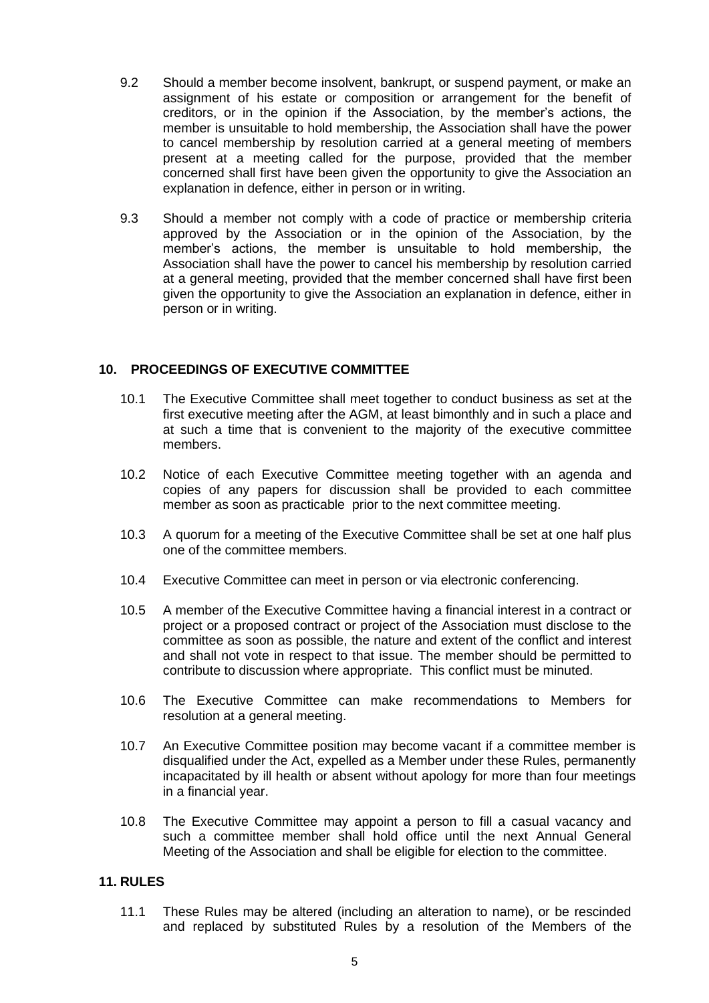- 9.2 Should a member become insolvent, bankrupt, or suspend payment, or make an assignment of his estate or composition or arrangement for the benefit of creditors, or in the opinion if the Association, by the member's actions, the member is unsuitable to hold membership, the Association shall have the power to cancel membership by resolution carried at a general meeting of members present at a meeting called for the purpose, provided that the member concerned shall first have been given the opportunity to give the Association an explanation in defence, either in person or in writing.
- 9.3 Should a member not comply with a code of practice or membership criteria approved by the Association or in the opinion of the Association, by the member's actions, the member is unsuitable to hold membership, the Association shall have the power to cancel his membership by resolution carried at a general meeting, provided that the member concerned shall have first been given the opportunity to give the Association an explanation in defence, either in person or in writing.

## **10. PROCEEDINGS OF EXECUTIVE COMMITTEE**

- 10.1 The Executive Committee shall meet together to conduct business as set at the first executive meeting after the AGM, at least bimonthly and in such a place and at such a time that is convenient to the majority of the executive committee members.
- 10.2 Notice of each Executive Committee meeting together with an agenda and copies of any papers for discussion shall be provided to each committee member as soon as practicable prior to the next committee meeting.
- 10.3 A quorum for a meeting of the Executive Committee shall be set at one half plus one of the committee members.
- 10.4 Executive Committee can meet in person or via electronic conferencing.
- 10.5 A member of the Executive Committee having a financial interest in a contract or project or a proposed contract or project of the Association must disclose to the committee as soon as possible, the nature and extent of the conflict and interest and shall not vote in respect to that issue. The member should be permitted to contribute to discussion where appropriate. This conflict must be minuted.
- 10.6 The Executive Committee can make recommendations to Members for resolution at a general meeting.
- 10.7 An Executive Committee position may become vacant if a committee member is disqualified under the Act, expelled as a Member under these Rules, permanently incapacitated by ill health or absent without apology for more than four meetings in a financial year.
- 10.8 The Executive Committee may appoint a person to fill a casual vacancy and such a committee member shall hold office until the next Annual General Meeting of the Association and shall be eligible for election to the committee.

## **11. RULES**

11.1 These Rules may be altered (including an alteration to name), or be rescinded and replaced by substituted Rules by a resolution of the Members of the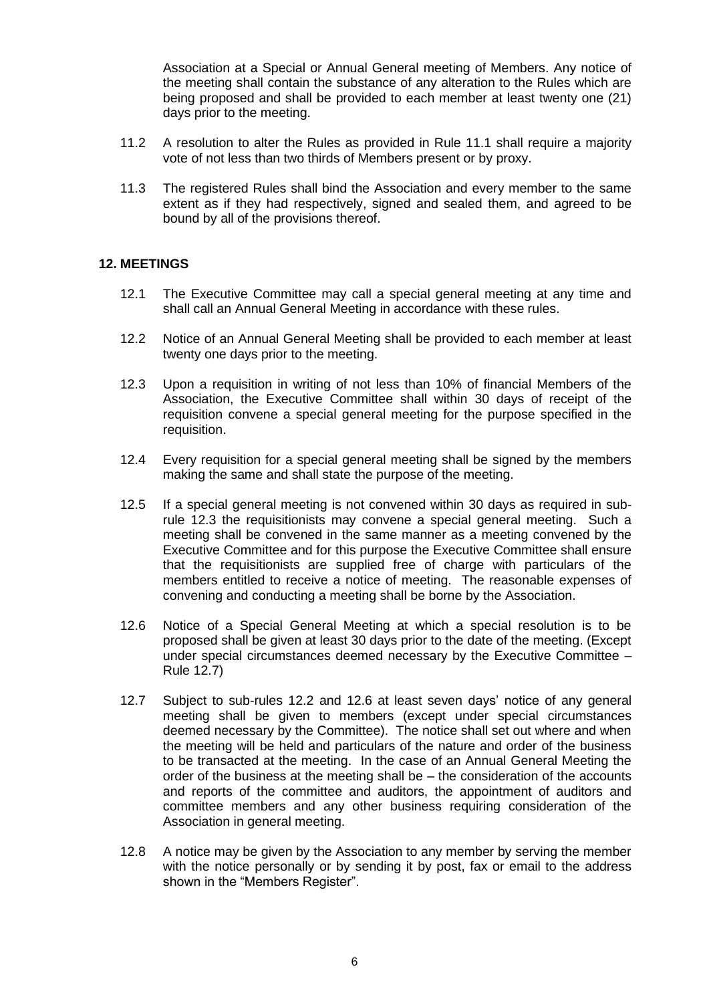Association at a Special or Annual General meeting of Members. Any notice of the meeting shall contain the substance of any alteration to the Rules which are being proposed and shall be provided to each member at least twenty one (21) days prior to the meeting.

- 11.2 A resolution to alter the Rules as provided in Rule 11.1 shall require a majority vote of not less than two thirds of Members present or by proxy.
- 11.3 The registered Rules shall bind the Association and every member to the same extent as if they had respectively, signed and sealed them, and agreed to be bound by all of the provisions thereof.

#### **12. MEETINGS**

- 12.1 The Executive Committee may call a special general meeting at any time and shall call an Annual General Meeting in accordance with these rules.
- 12.2 Notice of an Annual General Meeting shall be provided to each member at least twenty one days prior to the meeting.
- 12.3 Upon a requisition in writing of not less than 10% of financial Members of the Association, the Executive Committee shall within 30 days of receipt of the requisition convene a special general meeting for the purpose specified in the requisition.
- 12.4 Every requisition for a special general meeting shall be signed by the members making the same and shall state the purpose of the meeting.
- 12.5 If a special general meeting is not convened within 30 days as required in subrule 12.3 the requisitionists may convene a special general meeting. Such a meeting shall be convened in the same manner as a meeting convened by the Executive Committee and for this purpose the Executive Committee shall ensure that the requisitionists are supplied free of charge with particulars of the members entitled to receive a notice of meeting. The reasonable expenses of convening and conducting a meeting shall be borne by the Association.
- 12.6 Notice of a Special General Meeting at which a special resolution is to be proposed shall be given at least 30 days prior to the date of the meeting. (Except under special circumstances deemed necessary by the Executive Committee – Rule 12.7)
- 12.7 Subject to sub-rules 12.2 and 12.6 at least seven days' notice of any general meeting shall be given to members (except under special circumstances deemed necessary by the Committee). The notice shall set out where and when the meeting will be held and particulars of the nature and order of the business to be transacted at the meeting. In the case of an Annual General Meeting the order of the business at the meeting shall be – the consideration of the accounts and reports of the committee and auditors, the appointment of auditors and committee members and any other business requiring consideration of the Association in general meeting.
- 12.8 A notice may be given by the Association to any member by serving the member with the notice personally or by sending it by post, fax or email to the address shown in the "Members Register".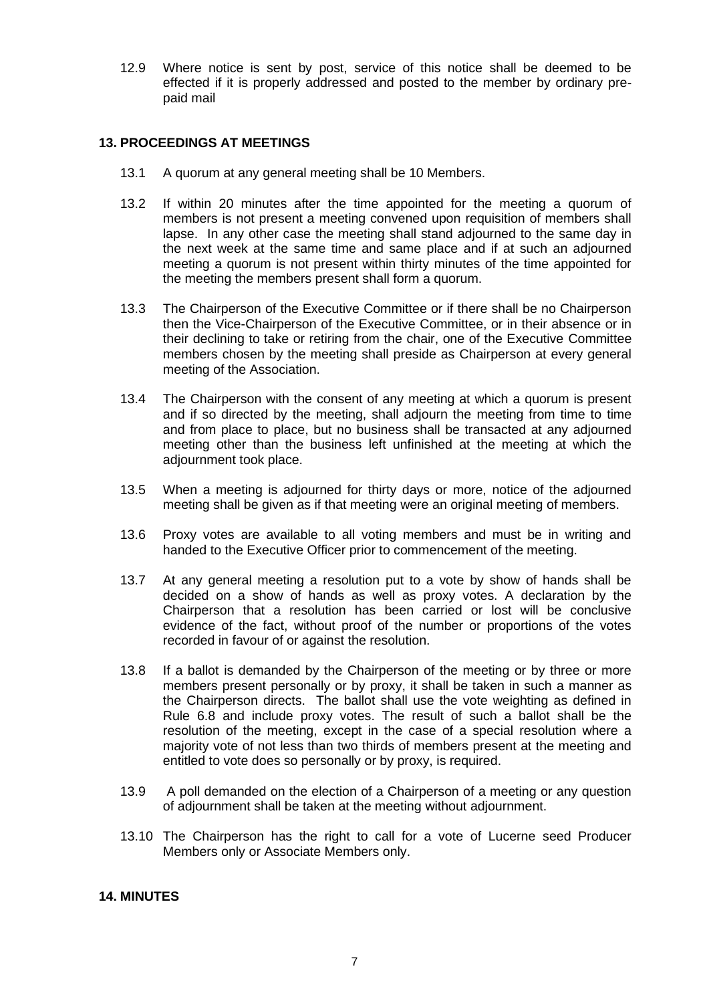12.9 Where notice is sent by post, service of this notice shall be deemed to be effected if it is properly addressed and posted to the member by ordinary prepaid mail

## **13. PROCEEDINGS AT MEETINGS**

- 13.1 A quorum at any general meeting shall be 10 Members.
- 13.2 If within 20 minutes after the time appointed for the meeting a quorum of members is not present a meeting convened upon requisition of members shall lapse. In any other case the meeting shall stand adjourned to the same day in the next week at the same time and same place and if at such an adjourned meeting a quorum is not present within thirty minutes of the time appointed for the meeting the members present shall form a quorum.
- 13.3 The Chairperson of the Executive Committee or if there shall be no Chairperson then the Vice-Chairperson of the Executive Committee, or in their absence or in their declining to take or retiring from the chair, one of the Executive Committee members chosen by the meeting shall preside as Chairperson at every general meeting of the Association.
- 13.4 The Chairperson with the consent of any meeting at which a quorum is present and if so directed by the meeting, shall adjourn the meeting from time to time and from place to place, but no business shall be transacted at any adjourned meeting other than the business left unfinished at the meeting at which the adjournment took place.
- 13.5 When a meeting is adjourned for thirty days or more, notice of the adjourned meeting shall be given as if that meeting were an original meeting of members.
- 13.6 Proxy votes are available to all voting members and must be in writing and handed to the Executive Officer prior to commencement of the meeting.
- 13.7 At any general meeting a resolution put to a vote by show of hands shall be decided on a show of hands as well as proxy votes. A declaration by the Chairperson that a resolution has been carried or lost will be conclusive evidence of the fact, without proof of the number or proportions of the votes recorded in favour of or against the resolution.
- 13.8 If a ballot is demanded by the Chairperson of the meeting or by three or more members present personally or by proxy, it shall be taken in such a manner as the Chairperson directs. The ballot shall use the vote weighting as defined in Rule 6.8 and include proxy votes. The result of such a ballot shall be the resolution of the meeting, except in the case of a special resolution where a majority vote of not less than two thirds of members present at the meeting and entitled to vote does so personally or by proxy, is required.
- 13.9 A poll demanded on the election of a Chairperson of a meeting or any question of adjournment shall be taken at the meeting without adjournment.
- 13.10 The Chairperson has the right to call for a vote of Lucerne seed Producer Members only or Associate Members only.

## **14. MINUTES**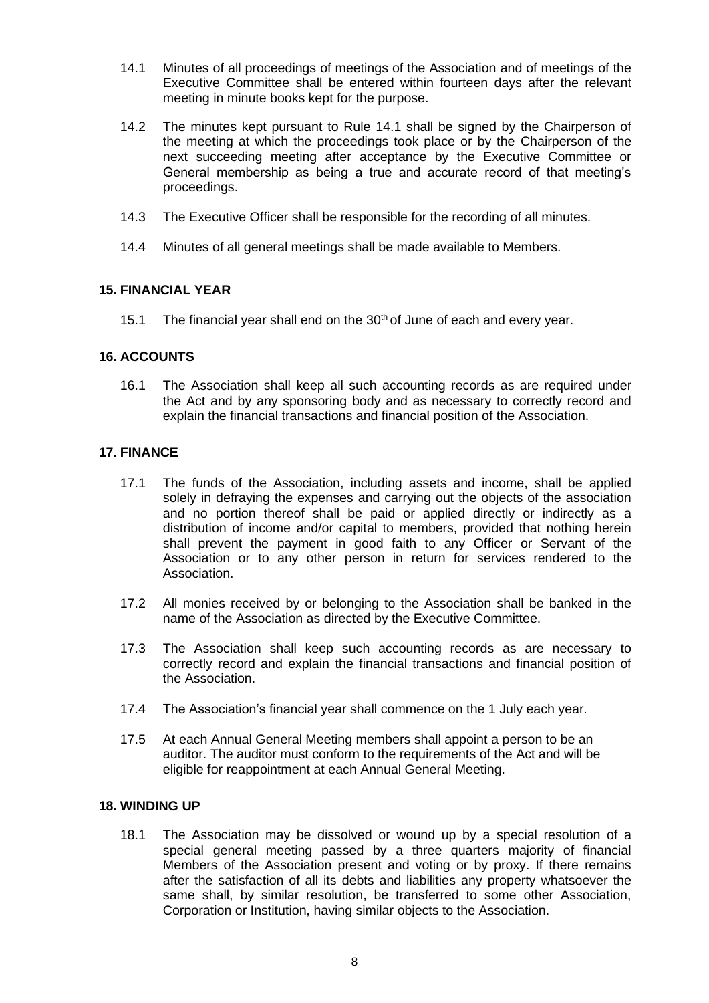- 14.1 Minutes of all proceedings of meetings of the Association and of meetings of the Executive Committee shall be entered within fourteen days after the relevant meeting in minute books kept for the purpose.
- 14.2 The minutes kept pursuant to Rule 14.1 shall be signed by the Chairperson of the meeting at which the proceedings took place or by the Chairperson of the next succeeding meeting after acceptance by the Executive Committee or General membership as being a true and accurate record of that meeting's proceedings.
- 14.3 The Executive Officer shall be responsible for the recording of all minutes.
- 14.4 Minutes of all general meetings shall be made available to Members.

#### **15. FINANCIAL YEAR**

15.1 The financial year shall end on the  $30<sup>th</sup>$  of June of each and every year.

#### **16. ACCOUNTS**

16.1 The Association shall keep all such accounting records as are required under the Act and by any sponsoring body and as necessary to correctly record and explain the financial transactions and financial position of the Association.

#### **17. FINANCE**

- 17.1 The funds of the Association, including assets and income, shall be applied solely in defraying the expenses and carrying out the objects of the association and no portion thereof shall be paid or applied directly or indirectly as a distribution of income and/or capital to members, provided that nothing herein shall prevent the payment in good faith to any Officer or Servant of the Association or to any other person in return for services rendered to the Association.
- 17.2 All monies received by or belonging to the Association shall be banked in the name of the Association as directed by the Executive Committee.
- 17.3 The Association shall keep such accounting records as are necessary to correctly record and explain the financial transactions and financial position of the Association.
- 17.4 The Association's financial year shall commence on the 1 July each year.
- 17.5 At each Annual General Meeting members shall appoint a person to be an auditor. The auditor must conform to the requirements of the Act and will be eligible for reappointment at each Annual General Meeting.

#### **18. WINDING UP**

18.1 The Association may be dissolved or wound up by a special resolution of a special general meeting passed by a three quarters majority of financial Members of the Association present and voting or by proxy. If there remains after the satisfaction of all its debts and liabilities any property whatsoever the same shall, by similar resolution, be transferred to some other Association, Corporation or Institution, having similar objects to the Association.